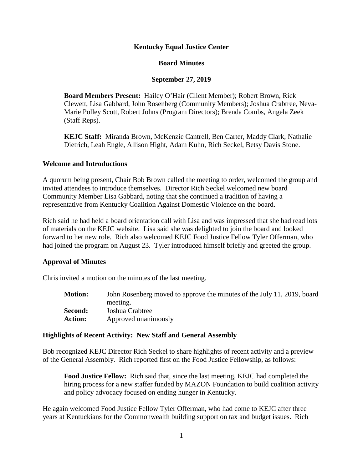#### **Kentucky Equal Justice Center**

#### **Board Minutes**

#### **September 27, 2019**

**Board Members Present:** Hailey O'Hair (Client Member); Robert Brown, Rick Clewett, Lisa Gabbard, John Rosenberg (Community Members); Joshua Crabtree, Neva-Marie Polley Scott, Robert Johns (Program Directors); Brenda Combs, Angela Zeek (Staff Reps).

**KEJC Staff:** Miranda Brown, McKenzie Cantrell, Ben Carter, Maddy Clark, Nathalie Dietrich, Leah Engle, Allison Hight, Adam Kuhn, Rich Seckel, Betsy Davis Stone.

#### **Welcome and Introductions**

A quorum being present, Chair Bob Brown called the meeting to order, welcomed the group and invited attendees to introduce themselves. Director Rich Seckel welcomed new board Community Member Lisa Gabbard, noting that she continued a tradition of having a representative from Kentucky Coalition Against Domestic Violence on the board.

Rich said he had held a board orientation call with Lisa and was impressed that she had read lots of materials on the KEJC website. Lisa said she was delighted to join the board and looked forward to her new role. Rich also welcomed KEJC Food Justice Fellow Tyler Offerman, who had joined the program on August 23. Tyler introduced himself briefly and greeted the group.

#### **Approval of Minutes**

Chris invited a motion on the minutes of the last meeting.

**Motion:** John Rosenberg moved to approve the minutes of the July 11, 2019, board meeting. **Second:** Joshua Crabtree **Action:** Approved unanimously

#### **Highlights of Recent Activity: New Staff and General Assembly**

Bob recognized KEJC Director Rich Seckel to share highlights of recent activity and a preview of the General Assembly. Rich reported first on the Food Justice Fellowship, as follows:

**Food Justice Fellow:** Rich said that, since the last meeting, KEJC had completed the hiring process for a new staffer funded by MAZON Foundation to build coalition activity and policy advocacy focused on ending hunger in Kentucky.

He again welcomed Food Justice Fellow Tyler Offerman, who had come to KEJC after three years at Kentuckians for the Commonwealth building support on tax and budget issues. Rich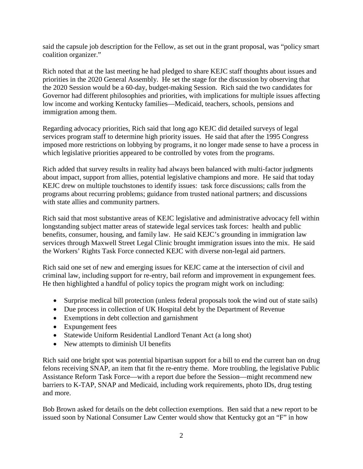said the capsule job description for the Fellow, as set out in the grant proposal, was "policy smart coalition organizer."

Rich noted that at the last meeting he had pledged to share KEJC staff thoughts about issues and priorities in the 2020 General Assembly. He set the stage for the discussion by observing that the 2020 Session would be a 60-day, budget-making Session. Rich said the two candidates for Governor had different philosophies and priorities, with implications for multiple issues affecting low income and working Kentucky families—Medicaid, teachers, schools, pensions and immigration among them.

Regarding advocacy priorities, Rich said that long ago KEJC did detailed surveys of legal services program staff to determine high priority issues. He said that after the 1995 Congress imposed more restrictions on lobbying by programs, it no longer made sense to have a process in which legislative priorities appeared to be controlled by votes from the programs.

Rich added that survey results in reality had always been balanced with multi-factor judgments about impact, support from allies, potential legislative champions and more. He said that today KEJC drew on multiple touchstones to identify issues: task force discussions; calls from the programs about recurring problems; guidance from trusted national partners; and discussions with state allies and community partners.

Rich said that most substantive areas of KEJC legislative and administrative advocacy fell within longstanding subject matter areas of statewide legal services task forces: health and public benefits, consumer, housing, and family law. He said KEJC's grounding in immigration law services through Maxwell Street Legal Clinic brought immigration issues into the mix. He said the Workers' Rights Task Force connected KEJC with diverse non-legal aid partners.

Rich said one set of new and emerging issues for KEJC came at the intersection of civil and criminal law, including support for re-entry, bail reform and improvement in expungement fees. He then highlighted a handful of policy topics the program might work on including:

- Surprise medical bill protection (unless federal proposals took the wind out of state sails)
- Due process in collection of UK Hospital debt by the Department of Revenue
- Exemptions in debt collection and garnishment
- Expungement fees
- Statewide Uniform Residential Landlord Tenant Act (a long shot)
- New attempts to diminish UI benefits

Rich said one bright spot was potential bipartisan support for a bill to end the current ban on drug felons receiving SNAP, an item that fit the re-entry theme. More troubling, the legislative Public Assistance Reform Task Force—with a report due before the Session—might recommend new barriers to K-TAP, SNAP and Medicaid, including work requirements, photo IDs, drug testing and more.

Bob Brown asked for details on the debt collection exemptions. Ben said that a new report to be issued soon by National Consumer Law Center would show that Kentucky got an "F" in how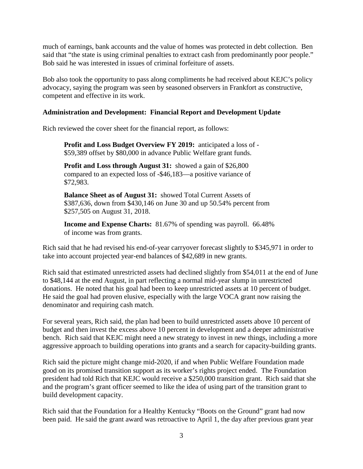much of earnings, bank accounts and the value of homes was protected in debt collection. Ben said that "the state is using criminal penalties to extract cash from predominantly poor people." Bob said he was interested in issues of criminal forfeiture of assets.

Bob also took the opportunity to pass along compliments he had received about KEJC's policy advocacy, saying the program was seen by seasoned observers in Frankfort as constructive, competent and effective in its work.

#### **Administration and Development: Financial Report and Development Update**

Rich reviewed the cover sheet for the financial report, as follows:

**Profit and Loss Budget Overview FY 2019:** anticipated a loss of - \$59,389 offset by \$80,000 in advance Public Welfare grant funds.

**Profit and Loss through August 31:** showed a gain of \$26,800 compared to an expected loss of -\$46,183—a positive variance of \$72,983.

**Balance Sheet as of August 31:** showed Total Current Assets of \$387,636, down from \$430,146 on June 30 and up 50.54% percent from \$257,505 on August 31, 2018.

**Income and Expense Charts:** 81.67% of spending was payroll. 66.48% of income was from grants.

Rich said that he had revised his end-of-year carryover forecast slightly to \$345,971 in order to take into account projected year-end balances of \$42,689 in new grants.

Rich said that estimated unrestricted assets had declined slightly from \$54,011 at the end of June to \$48,144 at the end August, in part reflecting a normal mid-year slump in unrestricted donations. He noted that his goal had been to keep unrestricted assets at 10 percent of budget. He said the goal had proven elusive, especially with the large VOCA grant now raising the denominator and requiring cash match.

For several years, Rich said, the plan had been to build unrestricted assets above 10 percent of budget and then invest the excess above 10 percent in development and a deeper administrative bench. Rich said that KEJC might need a new strategy to invest in new things, including a more aggressive approach to building operations into grants and a search for capacity-building grants.

Rich said the picture might change mid-2020, if and when Public Welfare Foundation made good on its promised transition support as its worker's rights project ended. The Foundation president had told Rich that KEJC would receive a \$250,000 transition grant. Rich said that she and the program's grant officer seemed to like the idea of using part of the transition grant to build development capacity.

Rich said that the Foundation for a Healthy Kentucky "Boots on the Ground" grant had now been paid. He said the grant award was retroactive to April 1, the day after previous grant year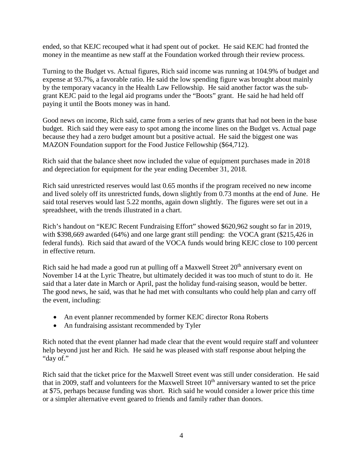ended, so that KEJC recouped what it had spent out of pocket. He said KEJC had fronted the money in the meantime as new staff at the Foundation worked through their review process.

Turning to the Budget vs. Actual figures, Rich said income was running at 104.9% of budget and expense at 93.7%, a favorable ratio. He said the low spending figure was brought about mainly by the temporary vacancy in the Health Law Fellowship. He said another factor was the subgrant KEJC paid to the legal aid programs under the "Boots" grant. He said he had held off paying it until the Boots money was in hand.

Good news on income, Rich said, came from a series of new grants that had not been in the base budget. Rich said they were easy to spot among the income lines on the Budget vs. Actual page because they had a zero budget amount but a positive actual. He said the biggest one was MAZON Foundation support for the Food Justice Fellowship (\$64,712).

Rich said that the balance sheet now included the value of equipment purchases made in 2018 and depreciation for equipment for the year ending December 31, 2018.

Rich said unrestricted reserves would last 0.65 months if the program received no new income and lived solely off its unrestricted funds, down slightly from 0.73 months at the end of June. He said total reserves would last 5.22 months, again down slightly. The figures were set out in a spreadsheet, with the trends illustrated in a chart.

Rich's handout on "KEJC Recent Fundraising Effort" showed \$620,962 sought so far in 2019, with \$398,669 awarded (64%) and one large grant still pending: the VOCA grant (\$215,426 in federal funds). Rich said that award of the VOCA funds would bring KEJC close to 100 percent in effective return.

Rich said he had made a good run at pulling off a Maxwell Street  $20<sup>th</sup>$  anniversary event on November 14 at the Lyric Theatre, but ultimately decided it was too much of stunt to do it. He said that a later date in March or April, past the holiday fund-raising season, would be better. The good news, he said, was that he had met with consultants who could help plan and carry off the event, including:

- An event planner recommended by former KEJC director Rona Roberts
- An fundraising assistant recommended by Tyler

Rich noted that the event planner had made clear that the event would require staff and volunteer help beyond just her and Rich. He said he was pleased with staff response about helping the "day of."

Rich said that the ticket price for the Maxwell Street event was still under consideration. He said that in 2009, staff and volunteers for the Maxwell Street  $10<sup>th</sup>$  anniversary wanted to set the price at \$75, perhaps because funding was short. Rich said he would consider a lower price this time or a simpler alternative event geared to friends and family rather than donors.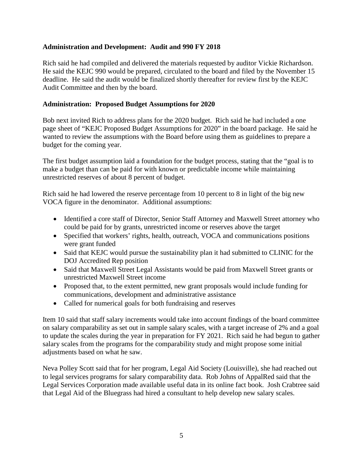#### **Administration and Development: Audit and 990 FY 2018**

Rich said he had compiled and delivered the materials requested by auditor Vickie Richardson. He said the KEJC 990 would be prepared, circulated to the board and filed by the November 15 deadline. He said the audit would be finalized shortly thereafter for review first by the KEJC Audit Committee and then by the board.

#### **Administration: Proposed Budget Assumptions for 2020**

Bob next invited Rich to address plans for the 2020 budget. Rich said he had included a one page sheet of "KEJC Proposed Budget Assumptions for 2020" in the board package. He said he wanted to review the assumptions with the Board before using them as guidelines to prepare a budget for the coming year.

The first budget assumption laid a foundation for the budget process, stating that the "goal is to make a budget than can be paid for with known or predictable income while maintaining unrestricted reserves of about 8 percent of budget.

Rich said he had lowered the reserve percentage from 10 percent to 8 in light of the big new VOCA figure in the denominator. Additional assumptions:

- Identified a core staff of Director, Senior Staff Attorney and Maxwell Street attorney who could be paid for by grants, unrestricted income or reserves above the target
- Specified that workers' rights, health, outreach, VOCA and communications positions were grant funded
- Said that KEJC would pursue the sustainability plan it had submitted to CLINIC for the DOJ Accredited Rep position
- Said that Maxwell Street Legal Assistants would be paid from Maxwell Street grants or unrestricted Maxwell Street income
- Proposed that, to the extent permitted, new grant proposals would include funding for communications, development and administrative assistance
- Called for numerical goals for both fundraising and reserves

Item 10 said that staff salary increments would take into account findings of the board committee on salary comparability as set out in sample salary scales, with a target increase of 2% and a goal to update the scales during the year in preparation for FY 2021. Rich said he had begun to gather salary scales from the programs for the comparability study and might propose some initial adjustments based on what he saw.

Neva Polley Scott said that for her program, Legal Aid Society (Louisville), she had reached out to legal services programs for salary comparability data. Rob Johns of AppalRed said that the Legal Services Corporation made available useful data in its online fact book. Josh Crabtree said that Legal Aid of the Bluegrass had hired a consultant to help develop new salary scales.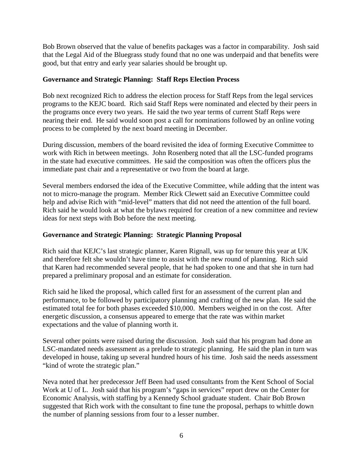Bob Brown observed that the value of benefits packages was a factor in comparability. Josh said that the Legal Aid of the Bluegrass study found that no one was underpaid and that benefits were good, but that entry and early year salaries should be brought up.

#### **Governance and Strategic Planning: Staff Reps Election Process**

Bob next recognized Rich to address the election process for Staff Reps from the legal services programs to the KEJC board. Rich said Staff Reps were nominated and elected by their peers in the programs once every two years. He said the two year terms of current Staff Reps were nearing their end. He said would soon post a call for nominations followed by an online voting process to be completed by the next board meeting in December.

During discussion, members of the board revisited the idea of forming Executive Committee to work with Rich in between meetings. John Rosenberg noted that all the LSC-funded programs in the state had executive committees. He said the composition was often the officers plus the immediate past chair and a representative or two from the board at large.

Several members endorsed the idea of the Executive Committee, while adding that the intent was not to micro-manage the program. Member Rick Clewett said an Executive Committee could help and advise Rich with "mid-level" matters that did not need the attention of the full board. Rich said he would look at what the bylaws required for creation of a new committee and review ideas for next steps with Bob before the next meeting.

#### **Governance and Strategic Planning: Strategic Planning Proposal**

Rich said that KEJC's last strategic planner, Karen Rignall, was up for tenure this year at UK and therefore felt she wouldn't have time to assist with the new round of planning. Rich said that Karen had recommended several people, that he had spoken to one and that she in turn had prepared a preliminary proposal and an estimate for consideration.

Rich said he liked the proposal, which called first for an assessment of the current plan and performance, to be followed by participatory planning and crafting of the new plan. He said the estimated total fee for both phases exceeded \$10,000. Members weighed in on the cost. After energetic discussion, a consensus appeared to emerge that the rate was within market expectations and the value of planning worth it.

Several other points were raised during the discussion. Josh said that his program had done an LSC-mandated needs assessment as a prelude to strategic planning. He said the plan in turn was developed in house, taking up several hundred hours of his time. Josh said the needs assessment "kind of wrote the strategic plan."

Neva noted that her predecessor Jeff Been had used consultants from the Kent School of Social Work at U of L. Josh said that his program's "gaps in services" report drew on the Center for Economic Analysis, with staffing by a Kennedy School graduate student. Chair Bob Brown suggested that Rich work with the consultant to fine tune the proposal, perhaps to whittle down the number of planning sessions from four to a lesser number.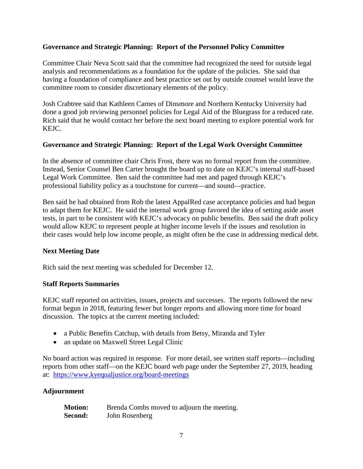## **Governance and Strategic Planning: Report of the Personnel Policy Committee**

Committee Chair Neva Scott said that the committee had recognized the need for outside legal analysis and recommendations as a foundation for the update of the policies. She said that having a foundation of compliance and best practice set out by outside counsel would leave the committee room to consider discretionary elements of the policy.

Josh Crabtree said that Kathleen Carnes of Dinsmore and Northern Kentucky University had done a good job reviewing personnel policies for Legal Aid of the Bluegrass for a reduced rate. Rich said that he would contact her before the next board meeting to explore potential work for KEJC.

## **Governance and Strategic Planning: Report of the Legal Work Oversight Committee**

In the absence of committee chair Chris Frost, there was no formal report from the committee. Instead, Senior Counsel Ben Carter brought the board up to date on KEJC's internal staff-based Legal Work Committee. Ben said the committee had met and paged through KEJC's professional liability policy as a touchstone for current—and sound—practice.

Ben said he had obtained from Rob the latest AppalRed case acceptance policies and had begun to adapt them for KEJC. He said the internal work group favored the idea of setting aside asset tests, in part to be consistent with KEJC's advocacy on public benefits. Ben said the draft policy would allow KEJC to represent people at higher income levels if the issues and resolution in their cases would help low income people, as might often be the case in addressing medical debt.

## **Next Meeting Date**

Rich said the next meeting was scheduled for December 12.

## **Staff Reports Summaries**

KEJC staff reported on activities, issues, projects and successes. The reports followed the new format begun in 2018, featuring fewer but longer reports and allowing more time for board discussion. The topics at the current meeting included:

- a Public Benefits Catchup, with details from Betsy, Miranda and Tyler
- an update on Maxwell Street Legal Clinic

No board action was required in response. For more detail, see written staff reports—including reports from other staff—on the KEJC board web page under the September 27, 2019, heading at: <https://www.kyequaljustice.org/board-meetings>

## **Adjournment**

| <b>Motion:</b> | Brenda Combs moved to adjourn the meeting. |
|----------------|--------------------------------------------|
| Second:        | John Rosenberg                             |